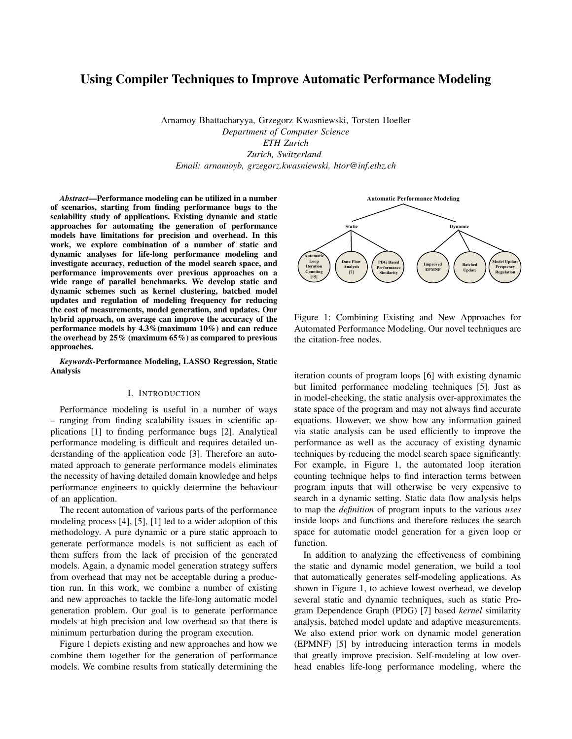# Using Compiler Techniques to Improve Automatic Performance Modeling

Arnamoy Bhattacharyya, Grzegorz Kwasniewski, Torsten Hoefler *Department of Computer Science ETH Zurich Zurich, Switzerland Email: arnamoyb, grzegorz.kwasniewski, htor@inf.ethz.ch*

*Abstract*—Performance modeling can be utilized in a number of scenarios, starting from finding performance bugs to the scalability study of applications. Existing dynamic and static approaches for automating the generation of performance models have limitations for precision and overhead. In this work, we explore combination of a number of static and dynamic analyses for life-long performance modeling and investigate accuracy, reduction of the model search space, and performance improvements over previous approaches on a wide range of parallel benchmarks. We develop static and dynamic schemes such as kernel clustering, batched model updates and regulation of modeling frequency for reducing the cost of measurements, model generation, and updates. Our hybrid approach, on average can improve the accuracy of the performance models by 4.3%(maximum 10%) and can reduce the overhead by 25% (maximum 65%) as compared to previous approaches.

*Keywords*-Performance Modeling, LASSO Regression, Static Analysis

#### I. INTRODUCTION

Performance modeling is useful in a number of ways – ranging from finding scalability issues in scientific applications [1] to finding performance bugs [2]. Analytical performance modeling is difficult and requires detailed understanding of the application code [3]. Therefore an automated approach to generate performance models eliminates the necessity of having detailed domain knowledge and helps performance engineers to quickly determine the behaviour of an application.

The recent automation of various parts of the performance modeling process [4], [5], [1] led to a wider adoption of this methodology. A pure dynamic or a pure static approach to generate performance models is not sufficient as each of them suffers from the lack of precision of the generated models. Again, a dynamic model generation strategy suffers from overhead that may not be acceptable during a production run. In this work, we combine a number of existing and new approaches to tackle the life-long automatic model generation problem. Our goal is to generate performance models at high precision and low overhead so that there is minimum perturbation during the program execution.

Figure 1 depicts existing and new approaches and how we combine them together for the generation of performance models. We combine results from statically determining the



Figure 1: Combining Existing and New Approaches for Automated Performance Modeling. Our novel techniques are the citation-free nodes.

iteration counts of program loops [6] with existing dynamic but limited performance modeling techniques [5]. Just as in model-checking, the static analysis over-approximates the state space of the program and may not always find accurate equations. However, we show how any information gained via static analysis can be used efficiently to improve the performance as well as the accuracy of existing dynamic techniques by reducing the model search space significantly. For example, in Figure 1, the automated loop iteration counting technique helps to find interaction terms between program inputs that will otherwise be very expensive to search in a dynamic setting. Static data flow analysis helps to map the *definition* of program inputs to the various *uses* inside loops and functions and therefore reduces the search space for automatic model generation for a given loop or function.

In addition to analyzing the effectiveness of combining the static and dynamic model generation, we build a tool that automatically generates self-modeling applications. As shown in Figure 1, to achieve lowest overhead, we develop several static and dynamic techniques, such as static Program Dependence Graph (PDG) [7] based *kernel* similarity analysis, batched model update and adaptive measurements. We also extend prior work on dynamic model generation (EPMNF) [5] by introducing interaction terms in models that greatly improve precision. Self-modeling at low overhead enables life-long performance modeling, where the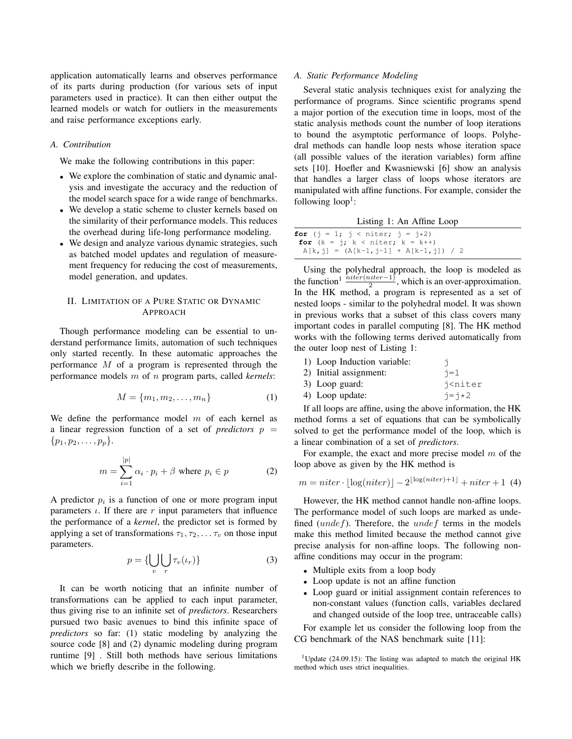application automatically learns and observes performance of its parts during production (for various sets of input parameters used in practice). It can then either output the learned models or watch for outliers in the measurements and raise performance exceptions early.

#### *A. Contribution*

We make the following contributions in this paper:

- We explore the combination of static and dynamic analysis and investigate the accuracy and the reduction of the model search space for a wide range of benchmarks.
- We develop a static scheme to cluster kernels based on the similarity of their performance models. This reduces the overhead during life-long performance modeling.
- We design and analyze various dynamic strategies, such as batched model updates and regulation of measurement frequency for reducing the cost of measurements, model generation, and updates.

## II. LIMITATION OF A PURE STATIC OR DYNAMIC APPROACH

Though performance modeling can be essential to understand performance limits, automation of such techniques only started recently. In these automatic approaches the performance M of a program is represented through the performance models m of n program parts, called *kernels*:

$$
M = \{m_1, m_2, \dots, m_n\} \tag{1}
$$

We define the performance model  $m$  of each kernel as a linear regression function of a set of *predictors*  $p =$  $\{p_1, p_2, \ldots, p_p\}.$ 

$$
m = \sum_{i=1}^{|p|} \alpha_i \cdot p_i + \beta \text{ where } p_i \in p \tag{2}
$$

A predictor  $p_i$  is a function of one or more program input parameters  $\iota$ . If there are r input parameters that influence the performance of a *kernel*, the predictor set is formed by applying a set of transformations  $\tau_1, \tau_2, \ldots, \tau_v$  on those input parameters.

$$
p = \{ \bigcup_{v} \bigcup_{r} \tau_{v}(\iota_{r}) \}
$$
 (3)

It can be worth noticing that an infinite number of transformations can be applied to each input parameter, thus giving rise to an infinite set of *predictors*. Researchers pursued two basic avenues to bind this infinite space of *predictors* so far: (1) static modeling by analyzing the source code [8] and (2) dynamic modeling during program runtime [9] . Still both methods have serious limitations which we briefly describe in the following.

## *A. Static Performance Modeling*

Several static analysis techniques exist for analyzing the performance of programs. Since scientific programs spend a major portion of the execution time in loops, most of the static analysis methods count the number of loop iterations to bound the asymptotic performance of loops. Polyhedral methods can handle loop nests whose iteration space (all possible values of the iteration variables) form affine sets [10]. Hoefler and Kwasniewski [6] show an analysis that handles a larger class of loops whose iterators are manipulated with affine functions. For example, consider the following  $loop<sup>1</sup>$ :

|                                                                                       | Listing 1: An Affine Loop              |  |
|---------------------------------------------------------------------------------------|----------------------------------------|--|
| <b>for</b> $(k = 1; k < niter; k = k++)$<br>$A[k, j] = (A[k-1, j-1] + A[k-1, j]) / 2$ | <b>for</b> (i = 1; i < niter; i = i*2) |  |

Using the polyhedral approach, the loop is modeled as the function<sup>1</sup>  $\frac{\text{inter(niter-1)}}{2}$ , which is an over-approximation. In the HK method, a program is represented as a set of nested loops - similar to the polyhedral model. It was shown in previous works that a subset of this class covers many important codes in parallel computing [8]. The HK method works with the following terms derived automatically from the outer loop nest of Listing 1:

| 1) Loop Induction variable: |                               |
|-----------------------------|-------------------------------|
| 2) Initial assignment:      | $i=1$                         |
| 3) Loop guard:              | i <niter< th=""></niter<>     |
| 4) Loop update:             | $\dot{\neg} = \dot{\neg} * 2$ |

If all loops are affine, using the above information, the HK method forms a set of equations that can be symbolically solved to get the performance model of the loop, which is a linear combination of a set of *predictors*.

For example, the exact and more precise model  $m$  of the loop above as given by the HK method is

$$
m = niter \cdot \lfloor \log(niter) \rfloor - 2^{\lfloor \log(niter) + 1 \rfloor} + niter + 1 \tag{4}
$$

However, the HK method cannot handle non-affine loops. The performance model of such loops are marked as undefined  $(undef)$ . Therefore, the  $undef$  terms in the models make this method limited because the method cannot give precise analysis for non-affine loops. The following nonaffine conditions may occur in the program:

- Multiple exits from a loop body
- Loop update is not an affine function
- Loop guard or initial assignment contain references to non-constant values (function calls, variables declared and changed outside of the loop tree, untraceable calls)

For example let us consider the following loop from the CG benchmark of the NAS benchmark suite [11]:

<sup>&</sup>lt;sup>1</sup>Update (24.09.15): The listing was adapted to match the original HK method which uses strict inequalities.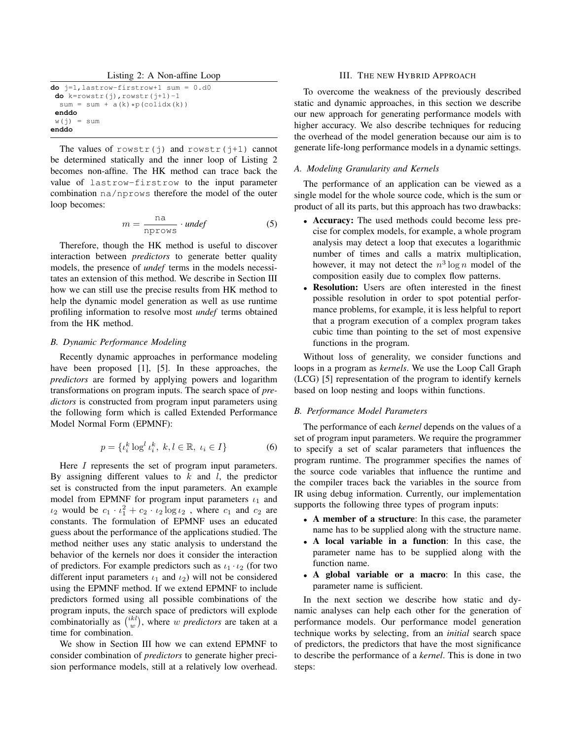Listing 2: A Non-affine Loop

| $do$ $i=1$ , lastrow-firstrow+1 sum = 0.d0 |  |
|--------------------------------------------|--|
| <b>do</b> $k=rowstr(i)$ , rowstr(j+1)-1    |  |
| $sum = sum + a(k) * p(colidx(k))$          |  |
| enddo                                      |  |
| $w(i) = sum$                               |  |
| enddo                                      |  |

The values of rowstr(j) and rowstr(j+1) cannot be determined statically and the inner loop of Listing 2 becomes non-affine. The HK method can trace back the value of lastrow-firstrow to the input parameter combination na/nprows therefore the model of the outer loop becomes:

$$
m = \frac{\text{na}}{\text{nprows}} \cdot \text{under}
$$
 (5)

Therefore, though the HK method is useful to discover interaction between *predictors* to generate better quality models, the presence of *undef* terms in the models necessitates an extension of this method. We describe in Section III how we can still use the precise results from HK method to help the dynamic model generation as well as use runtime profiling information to resolve most *undef* terms obtained from the HK method.

#### *B. Dynamic Performance Modeling*

Recently dynamic approaches in performance modeling have been proposed [1], [5]. In these approaches, the *predictors* are formed by applying powers and logarithm transformations on program inputs. The search space of *predictors* is constructed from program input parameters using the following form which is called Extended Performance Model Normal Form (EPMNF):

$$
p = \{ \iota_i^k \log^l \iota_i^k, \ k, l \in \mathbb{R}, \ \iota_i \in I \}
$$
 (6)

Here *I* represents the set of program input parameters. By assigning different values to  $k$  and  $l$ , the predictor set is constructed from the input parameters. An example model from EPMNF for program input parameters  $\iota_1$  and  $\iota_2$  would be  $c_1 \cdot \iota_1^2 + c_2 \cdot \iota_2 \log \iota_2$ , where  $c_1$  and  $c_2$  are constants. The formulation of EPMNF uses an educated guess about the performance of the applications studied. The method neither uses any static analysis to understand the behavior of the kernels nor does it consider the interaction of predictors. For example predictors such as  $\iota_1 \cdot \iota_2$  (for two different input parameters  $\iota_1$  and  $\iota_2$ ) will not be considered using the EPMNF method. If we extend EPMNF to include predictors formed using all possible combinations of the program inputs, the search space of predictors will explode combinatorially as  $\binom{ikl}{w}$ , where w *predictors* are taken at a time for combination.

We show in Section III how we can extend EPMNF to consider combination of *predictors* to generate higher precision performance models, still at a relatively low overhead.

## III. THE NEW HYBRID APPROACH

To overcome the weakness of the previously described static and dynamic approaches, in this section we describe our new approach for generating performance models with higher accuracy. We also describe techniques for reducing the overhead of the model generation because our aim is to generate life-long performance models in a dynamic settings.

#### *A. Modeling Granularity and Kernels*

The performance of an application can be viewed as a single model for the whole source code, which is the sum or product of all its parts, but this approach has two drawbacks:

- Accuracy: The used methods could become less precise for complex models, for example, a whole program analysis may detect a loop that executes a logarithmic number of times and calls a matrix multiplication, however, it may not detect the  $n^3 \log n$  model of the composition easily due to complex flow patterns.
- Resolution: Users are often interested in the finest possible resolution in order to spot potential performance problems, for example, it is less helpful to report that a program execution of a complex program takes cubic time than pointing to the set of most expensive functions in the program.

Without loss of generality, we consider functions and loops in a program as *kernels*. We use the Loop Call Graph (LCG) [5] representation of the program to identify kernels based on loop nesting and loops within functions.

#### *B. Performance Model Parameters*

The performance of each *kernel* depends on the values of a set of program input parameters. We require the programmer to specify a set of scalar parameters that influences the program runtime. The programmer specifies the names of the source code variables that influence the runtime and the compiler traces back the variables in the source from IR using debug information. Currently, our implementation supports the following three types of program inputs:

- A member of a structure: In this case, the parameter name has to be supplied along with the structure name.
- A local variable in a function: In this case, the parameter name has to be supplied along with the function name.
- A global variable or a macro: In this case, the parameter name is sufficient.

In the next section we describe how static and dynamic analyses can help each other for the generation of performance models. Our performance model generation technique works by selecting, from an *initial* search space of predictors, the predictors that have the most significance to describe the performance of a *kernel*. This is done in two steps: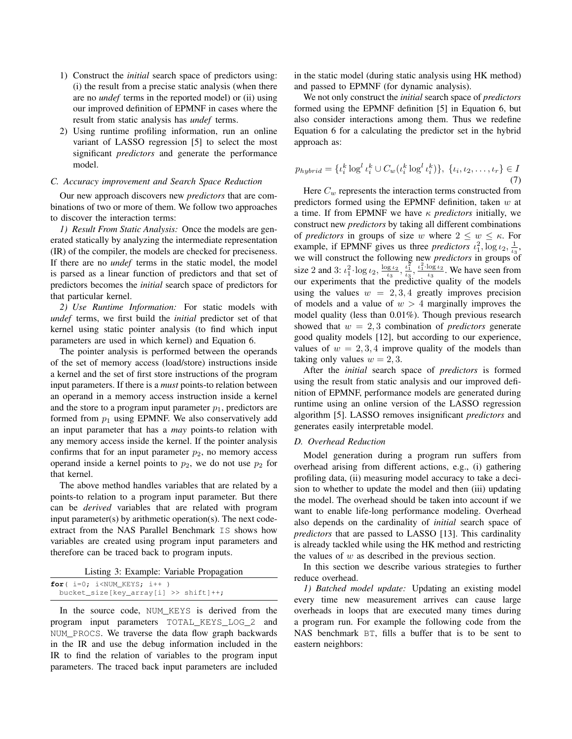- 1) Construct the *initial* search space of predictors using: (i) the result from a precise static analysis (when there are no *undef* terms in the reported model) or (ii) using our improved definition of EPMNF in cases where the result from static analysis has *undef* terms.
- 2) Using runtime profiling information, run an online variant of LASSO regression [5] to select the most significant *predictors* and generate the performance model.

#### *C. Accuracy improvement and Search Space Reduction*

Our new approach discovers new *predictors* that are combinations of two or more of them. We follow two approaches to discover the interaction terms:

*1) Result From Static Analysis:* Once the models are generated statically by analyzing the intermediate representation (IR) of the compiler, the models are checked for preciseness. If there are no *undef* terms in the static model, the model is parsed as a linear function of predictors and that set of predictors becomes the *initial* search space of predictors for that particular kernel.

*2) Use Runtime Information:* For static models with *undef* terms, we first build the *initial* predictor set of that kernel using static pointer analysis (to find which input parameters are used in which kernel) and Equation 6.

The pointer analysis is performed between the operands of the set of memory access (load/store) instructions inside a kernel and the set of first store instructions of the program input parameters. If there is a *must* points-to relation between an operand in a memory access instruction inside a kernel and the store to a program input parameter  $p_1$ , predictors are formed from  $p_1$  using EPMNF. We also conservatively add an input parameter that has a *may* points-to relation with any memory access inside the kernel. If the pointer analysis confirms that for an input parameter  $p_2$ , no memory access operand inside a kernel points to  $p_2$ , we do not use  $p_2$  for that kernel.

The above method handles variables that are related by a points-to relation to a program input parameter. But there can be *derived* variables that are related with program input parameter(s) by arithmetic operation(s). The next codeextract from the NAS Parallel Benchmark IS shows how variables are created using program input parameters and therefore can be traced back to program inputs.

Listing 3: Example: Variable Propagation

| for $(i=0; i<$ NUM KEYS; $i++$ )      |  |
|---------------------------------------|--|
| bucket_size[key_array[i] >> shift]++; |  |

In the source code, NUM\_KEYS is derived from the program input parameters TOTAL\_KEYS\_LOG\_2 and NUM\_PROCS. We traverse the data flow graph backwards in the IR and use the debug information included in the IR to find the relation of variables to the program input parameters. The traced back input parameters are included in the static model (during static analysis using HK method) and passed to EPMNF (for dynamic analysis).

We not only construct the *initial* search space of *predictors* formed using the EPMNF definition [5] in Equation 6, but also consider interactions among them. Thus we redefine Equation 6 for a calculating the predictor set in the hybrid approach as:

$$
p_{hybrid} = \{ \iota_i^k \log^l \iota_i^k \cup C_w(\iota_i^k \log^l \iota_i^k) \}, \ \{ \iota_i, \iota_2, \dots, \iota_r \} \in I
$$
\n<sup>(7)</sup>

Here  $C_w$  represents the interaction terms constructed from predictors formed using the EPMNF definition, taken  $w$  at a time. If from EPMNF we have κ *predictors* initially, we construct new *predictors* by taking all different combinations of *predictors* in groups of size w where  $2 \leq w \leq \kappa$ . For example, if EPMNF gives us three *predictors*  $\iota_1^2$ ,  $\log \iota_2$ ,  $\frac{1}{\iota_3}$ , we will construct the following new *predictors* in groups of size 2 and 3:  $\iota_1^2 \cdot \log \iota_2$ ,  $\frac{\log \iota_2}{\iota_3}$ ,  $\frac{\iota_1^2}{\iota_3}$ ,  $\frac{\iota_1^2 \cdot \log \iota_2}{\iota_3}$  $\frac{\log t_2}{t_3}$ . We have seen from our experiments that the predictive quality of the models using the values  $w = 2, 3, 4$  greatly improves precision of models and a value of  $w > 4$  marginally improves the model quality (less than 0.01%). Though previous research showed that  $w = 2, 3$  combination of *predictors* generate good quality models [12], but according to our experience, values of  $w = 2, 3, 4$  improve quality of the models than taking only values  $w = 2, 3$ .

After the *initial* search space of *predictors* is formed using the result from static analysis and our improved definition of EPMNF, performance models are generated during runtime using an online version of the LASSO regression algorithm [5]. LASSO removes insignificant *predictors* and generates easily interpretable model.

#### *D. Overhead Reduction*

Model generation during a program run suffers from overhead arising from different actions, e.g., (i) gathering profiling data, (ii) measuring model accuracy to take a decision to whether to update the model and then (iii) updating the model. The overhead should be taken into account if we want to enable life-long performance modeling. Overhead also depends on the cardinality of *initial* search space of *predictors* that are passed to LASSO [13]. This cardinality is already tackled while using the HK method and restricting the values of  $w$  as described in the previous section.

In this section we describe various strategies to further reduce overhead.

*1) Batched model update:* Updating an existing model every time new measurement arrives can cause large overheads in loops that are executed many times during a program run. For example the following code from the NAS benchmark BT, fills a buffer that is to be sent to eastern neighbors: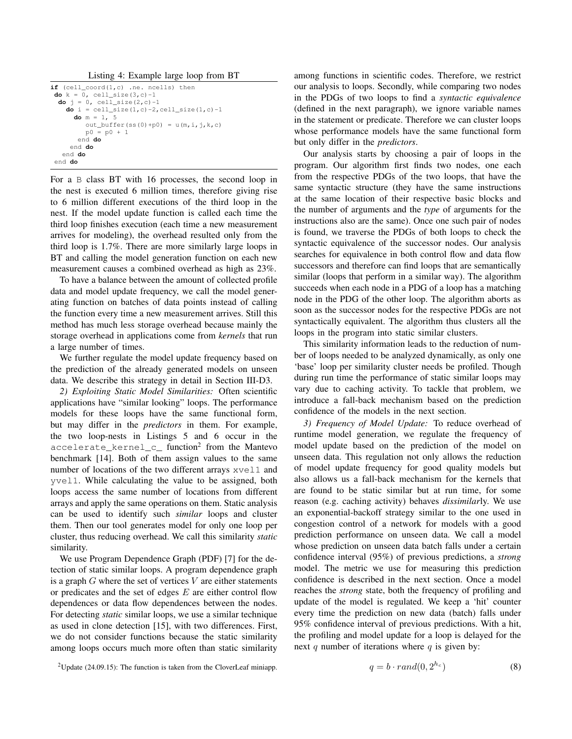Listing 4: Example large loop from BT

```
if (cell_coord(1,c) .ne. ncells) then
 do k = 0, cell_size(3,c)-1
  do j = 0, cell_size(2,c)-1
    do i = \text{cell\_size}(1, c) - 2, \text{cell\_size}(1, c) - 1do m = 1, 5
         out_buffer(ss(0)+p0) = u(m,i,j,k,c)p0 = p0 + 1end do
     end do
   end do
 end do
```
For a B class BT with 16 processes, the second loop in the nest is executed 6 million times, therefore giving rise to 6 million different executions of the third loop in the nest. If the model update function is called each time the third loop finishes execution (each time a new measurement arrives for modeling), the overhead resulted only from the third loop is 1.7%. There are more similarly large loops in BT and calling the model generation function on each new measurement causes a combined overhead as high as 23%.

To have a balance between the amount of collected profile data and model update frequency, we call the model generating function on batches of data points instead of calling the function every time a new measurement arrives. Still this method has much less storage overhead because mainly the storage overhead in applications come from *kernels* that run a large number of times.

We further regulate the model update frequency based on the prediction of the already generated models on unseen data. We describe this strategy in detail in Section III-D3.

*2) Exploiting Static Model Similarities:* Often scientific applications have "similar looking" loops. The performance models for these loops have the same functional form, but may differ in the *predictors* in them. For example, the two loop-nests in Listings 5 and 6 occur in the accelerate\_kernel\_c\_ function<sup>2</sup> from the Mantevo benchmark [14]. Both of them assign values to the same number of locations of the two different arrays  $x$ vell and yvel1. While calculating the value to be assigned, both loops access the same number of locations from different arrays and apply the same operations on them. Static analysis can be used to identify such *similar* loops and cluster them. Then our tool generates model for only one loop per cluster, thus reducing overhead. We call this similarity *static* similarity.

We use Program Dependence Graph (PDF) [7] for the detection of static similar loops. A program dependence graph is a graph  $G$  where the set of vertices  $V$  are either statements or predicates and the set of edges  $E$  are either control flow dependences or data flow dependences between the nodes. For detecting *static* similar loops, we use a similar technique as used in clone detection [15], with two differences. First, we do not consider functions because the static similarity among loops occurs much more often than static similarity among functions in scientific codes. Therefore, we restrict our analysis to loops. Secondly, while comparing two nodes in the PDGs of two loops to find a *syntactic equivalence* (defined in the next paragraph), we ignore variable names in the statement or predicate. Therefore we can cluster loops whose performance models have the same functional form but only differ in the *predictors*.

Our analysis starts by choosing a pair of loops in the program. Our algorithm first finds two nodes, one each from the respective PDGs of the two loops, that have the same syntactic structure (they have the same instructions at the same location of their respective basic blocks and the number of arguments and the *type* of arguments for the instructions also are the same). Once one such pair of nodes is found, we traverse the PDGs of both loops to check the syntactic equivalence of the successor nodes. Our analysis searches for equivalence in both control flow and data flow successors and therefore can find loops that are semantically similar (loops that perform in a similar way). The algorithm succeeds when each node in a PDG of a loop has a matching node in the PDG of the other loop. The algorithm aborts as soon as the successor nodes for the respective PDGs are not syntactically equivalent. The algorithm thus clusters all the loops in the program into static similar clusters.

This similarity information leads to the reduction of number of loops needed to be analyzed dynamically, as only one 'base' loop per similarity cluster needs be profiled. Though during run time the performance of static similar loops may vary due to caching activity. To tackle that problem, we introduce a fall-back mechanism based on the prediction confidence of the models in the next section.

*3) Frequency of Model Update:* To reduce overhead of runtime model generation, we regulate the frequency of model update based on the prediction of the model on unseen data. This regulation not only allows the reduction of model update frequency for good quality models but also allows us a fall-back mechanism for the kernels that are found to be static similar but at run time, for some reason (e.g. caching activity) behaves *dissimilar*ly. We use an exponential-backoff strategy similar to the one used in congestion control of a network for models with a good prediction performance on unseen data. We call a model whose prediction on unseen data batch falls under a certain confidence interval (95%) of previous predictions, a *strong* model. The metric we use for measuring this prediction confidence is described in the next section. Once a model reaches the *strong* state, both the frequency of profiling and update of the model is regulated. We keep a 'hit' counter every time the prediction on new data (batch) falls under 95% confidence interval of previous predictions. With a hit, the profiling and model update for a loop is delayed for the next q number of iterations where  $q$  is given by:

$$
q = b \cdot rand(0, 2^{h_c}) \tag{8}
$$

<sup>&</sup>lt;sup>2</sup>Update (24.09.15): The function is taken from the CloverLeaf miniapp.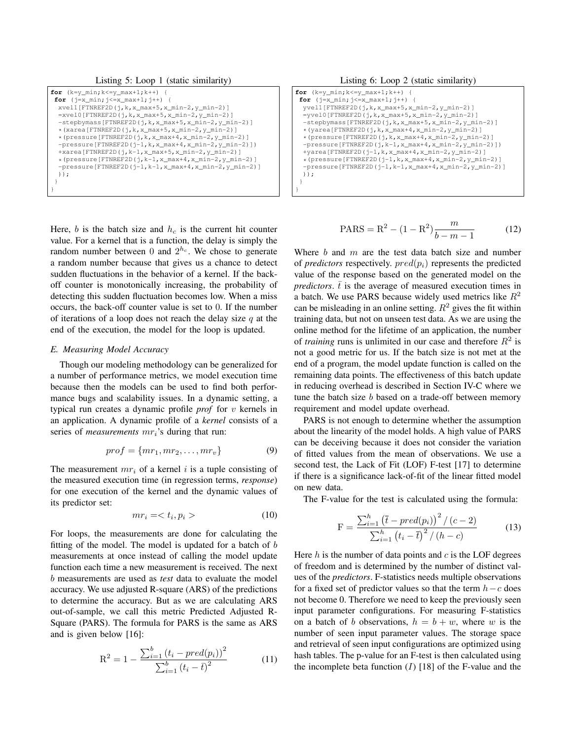Listing 5: Loop 1 (static similarity)

| <b>for</b> $(k=y min; k<=y max+1; k++)$ {                              |
|------------------------------------------------------------------------|
| for $(j=x \min; j<=x \max+1; j++)$ {                                   |
| $x$ vell[FTNREF2D(j,k,x_max+5,x_min-2,y_min-2)]                        |
| $=$ xvel0[FTNREF2D(j,k,x_max+5,x_min-2,y_min-2)]                       |
| -stepbymass [FTNREF2D(j, k, x_max+5, x_min-2, y_min-2)]                |
| $\star$ (xarea [FTNREF2D( $\uparrow$ , k, x_max+5, x_min-2, y_min-2)]  |
| $\star$ (pressure [FTNREF2D(j, k, x max+4, x min-2, y min-2)]          |
| $-pressure[FTNREF2D(i-1,k,x_max+4,x-min-2,y-min-2)]$                   |
| $+xarea[FTNREF2D(j,k-1,x_max+5,x,min-2,y,min-2)]$                      |
| $\star$ (pressure [FTNREF2D( $\tau$ , k-1, x_max+4, x_min-2, y_min-2)] |
| $-pressure[FTNREF2D(j-1,k-1,x_max+4,x.min-2,y.min-2)]$                 |
| $)$ ) :                                                                |
|                                                                        |

Here,  $b$  is the batch size and  $h_c$  is the current hit counter value. For a kernel that is a function, the delay is simply the random number between 0 and  $2^{h_c}$ . We chose to generate a random number because that gives us a chance to detect sudden fluctuations in the behavior of a kernel. If the backoff counter is monotonically increasing, the probability of detecting this sudden fluctuation becomes low. When a miss occurs, the back-off counter value is set to 0. If the number of iterations of a loop does not reach the delay size  $q$  at the end of the execution, the model for the loop is updated.

## *E. Measuring Model Accuracy*

}

Though our modeling methodology can be generalized for a number of performance metrics, we model execution time because then the models can be used to find both performance bugs and scalability issues. In a dynamic setting, a typical run creates a dynamic profile *prof* for v kernels in an application. A dynamic profile of a *kernel* consists of a series of *measurements*  $mr_i$ 's during that run:

$$
prof = \{mr_1, mr_2, \dots, mr_v\} \tag{9}
$$

The measurement  $mr_i$  of a kernel i is a tuple consisting of the measured execution time (in regression terms, *response*) for one execution of the kernel and the dynamic values of its predictor set:

$$
mr_i = \langle t_i, p_i \rangle \tag{10}
$$

For loops, the measurements are done for calculating the fitting of the model. The model is updated for a batch of  $b$ measurements at once instead of calling the model update function each time a new measurement is received. The next b measurements are used as *test* data to evaluate the model accuracy. We use adjusted R-square (ARS) of the predictions to determine the accuracy. But as we are calculating ARS out-of-sample, we call this metric Predicted Adjusted R-Square (PARS). The formula for PARS is the same as ARS and is given below [16]:

$$
R^{2} = 1 - \frac{\sum_{i=1}^{b} (t_{i} - pred(p_{i}))^{2}}{\sum_{i=1}^{b} (t_{i} - \bar{t})^{2}}
$$
(11)

Listing 6: Loop 2 (static similarity)

| <b>for</b> $(k=y min; k<=y max+1; k++)$ {                                   |
|-----------------------------------------------------------------------------|
| for $(j=x_{min}; j<=x_{max}+1; j++)$ {                                      |
| $y$ vell[FTNREF2D(j,k,x_max+5,x_min-2,y_min-2)]                             |
| $=$ yvel0 [FTNREF2D(j,k,x max+5,x min-2,y min-2)]                           |
| $-$ stepbymass[FTNREF2D(j,k,x_max+5,x_min-2,y_min-2)]                       |
| $\star$ (yarea [FTNREF2D(j, k, x_max+4, x_min-2, y_min-2)]                  |
| $*(pressure[FTNREF2D(j,k,x_max+4,x,min-2,y,min-2)]$                         |
| $-pressure[FTNREF2D(i,k-1,x max+4,x min-2,y min-2)])$                       |
| $+$ yarea [FTNREF2D( $j-1$ , k, x_max+4, x_min-2, y_min-2)]                 |
| $\star$ (pressure [FTNREF2D ( $\uparrow$ -1, k, x_max+4, x_min-2, y_min-2)] |
| $-pressure[FTNREF2D(i-1,k-1,x max+4,x min-2,y min-2)]$                      |
| $)$ ) :                                                                     |
|                                                                             |
|                                                                             |

$$
PARS = R^2 - (1 - R^2) \frac{m}{b - m - 1}
$$
 (12)

Where  $b$  and  $m$  are the test data batch size and number of *predictors* respectively.  $pred(p_i)$  represents the predicted value of the response based on the generated model on the *predictors.*  $\overline{t}$  is the average of measured execution times in a batch. We use PARS because widely used metrics like  $R^2$ can be misleading in an online setting.  $R^2$  gives the fit within training data, but not on unseen test data. As we are using the online method for the lifetime of an application, the number of *training* runs is unlimited in our case and therefore  $R^2$  is not a good metric for us. If the batch size is not met at the end of a program, the model update function is called on the remaining data points. The effectiveness of this batch update in reducing overhead is described in Section IV-C where we tune the batch size b based on a trade-off between memory requirement and model update overhead.

PARS is not enough to determine whether the assumption about the linearity of the model holds. A high value of PARS can be deceiving because it does not consider the variation of fitted values from the mean of observations. We use a second test, the Lack of Fit (LOF) F-test [17] to determine if there is a significance lack-of-fit of the linear fitted model on new data.

The F-value for the test is calculated using the formula:

$$
F = \frac{\sum_{i=1}^{h} (\bar{t} - pred(p_i))^{2} / (c - 2)}{\sum_{i=1}^{h} (t_i - \bar{t})^{2} / (h - c)}
$$
(13)

Here  $h$  is the number of data points and  $c$  is the LOF degrees of freedom and is determined by the number of distinct values of the *predictors*. F-statistics needs multiple observations for a fixed set of predictor values so that the term  $h - c$  does not become 0. Therefore we need to keep the previously seen input parameter configurations. For measuring F-statistics on a batch of b observations,  $h = b + w$ , where w is the number of seen input parameter values. The storage space and retrieval of seen input configurations are optimized using hash tables. The p-value for an F-test is then calculated using the incomplete beta function  $(I)$  [18] of the F-value and the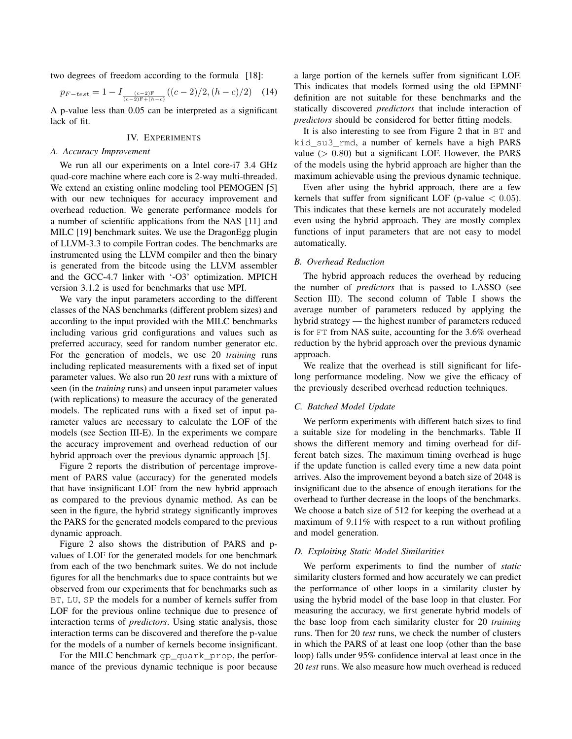two degrees of freedom according to the formula [18]:

$$
p_{F-test} = 1 - I_{\frac{(c-2)F}{(c-2)F + (h-c)}}((c-2)/2, (h-c)/2)
$$
 (14)

A p-value less than 0.05 can be interpreted as a significant lack of fit.

## IV. EXPERIMENTS

#### *A. Accuracy Improvement*

We run all our experiments on a Intel core-i7 3.4 GHz quad-core machine where each core is 2-way multi-threaded. We extend an existing online modeling tool PEMOGEN [5] with our new techniques for accuracy improvement and overhead reduction. We generate performance models for a number of scientific applications from the NAS [11] and MILC [19] benchmark suites. We use the DragonEgg plugin of LLVM-3.3 to compile Fortran codes. The benchmarks are instrumented using the LLVM compiler and then the binary is generated from the bitcode using the LLVM assembler and the GCC-4.7 linker with '-O3' optimization. MPICH version 3.1.2 is used for benchmarks that use MPI.

We vary the input parameters according to the different classes of the NAS benchmarks (different problem sizes) and according to the input provided with the MILC benchmarks including various grid configurations and values such as preferred accuracy, seed for random number generator etc. For the generation of models, we use 20 *training* runs including replicated measurements with a fixed set of input parameter values. We also run 20 *test* runs with a mixture of seen (in the *training* runs) and unseen input parameter values (with replications) to measure the accuracy of the generated models. The replicated runs with a fixed set of input parameter values are necessary to calculate the LOF of the models (see Section III-E). In the experiments we compare the accuracy improvement and overhead reduction of our hybrid approach over the previous dynamic approach [5].

Figure 2 reports the distribution of percentage improvement of PARS value (accuracy) for the generated models that have insignificant LOF from the new hybrid approach as compared to the previous dynamic method. As can be seen in the figure, the hybrid strategy significantly improves the PARS for the generated models compared to the previous dynamic approach.

Figure 2 also shows the distribution of PARS and pvalues of LOF for the generated models for one benchmark from each of the two benchmark suites. We do not include figures for all the benchmarks due to space contraints but we observed from our experiments that for benchmarks such as BT, LU, SP the models for a number of kernels suffer from LOF for the previous online technique due to presence of interaction terms of *predictors*. Using static analysis, those interaction terms can be discovered and therefore the p-value for the models of a number of kernels become insignificant.

For the MILC benchmark gp\_quark\_prop, the performance of the previous dynamic technique is poor because a large portion of the kernels suffer from significant LOF. This indicates that models formed using the old EPMNF definition are not suitable for these benchmarks and the statically discovered *predictors* that include interaction of *predictors* should be considered for better fitting models.

It is also interesting to see from Figure 2 that in BT and kid\_su3\_rmd, a number of kernels have a high PARS value  $(> 0.80)$  but a significant LOF. However, the PARS of the models using the hybrid approach are higher than the maximum achievable using the previous dynamic technique.

Even after using the hybrid approach, there are a few kernels that suffer from significant LOF (p-value  $< 0.05$ ). This indicates that these kernels are not accurately modeled even using the hybrid approach. They are mostly complex functions of input parameters that are not easy to model automatically.

## *B. Overhead Reduction*

The hybrid approach reduces the overhead by reducing the number of *predictors* that is passed to LASSO (see Section III). The second column of Table I shows the average number of parameters reduced by applying the hybrid strategy — the highest number of parameters reduced is for FT from NAS suite, accounting for the 3.6% overhead reduction by the hybrid approach over the previous dynamic approach.

We realize that the overhead is still significant for lifelong performance modeling. Now we give the efficacy of the previously described overhead reduction techniques.

## *C. Batched Model Update*

We perform experiments with different batch sizes to find a suitable size for modeling in the benchmarks. Table II shows the different memory and timing overhead for different batch sizes. The maximum timing overhead is huge if the update function is called every time a new data point arrives. Also the improvement beyond a batch size of 2048 is insignificant due to the absence of enough iterations for the overhead to further decrease in the loops of the benchmarks. We choose a batch size of 512 for keeping the overhead at a maximum of 9.11% with respect to a run without profiling and model generation.

#### *D. Exploiting Static Model Similarities*

We perform experiments to find the number of *static* similarity clusters formed and how accurately we can predict the performance of other loops in a similarity cluster by using the hybrid model of the base loop in that cluster. For measuring the accuracy, we first generate hybrid models of the base loop from each similarity cluster for 20 *training* runs. Then for 20 *test* runs, we check the number of clusters in which the PARS of at least one loop (other than the base loop) falls under 95% confidence interval at least once in the 20 *test* runs. We also measure how much overhead is reduced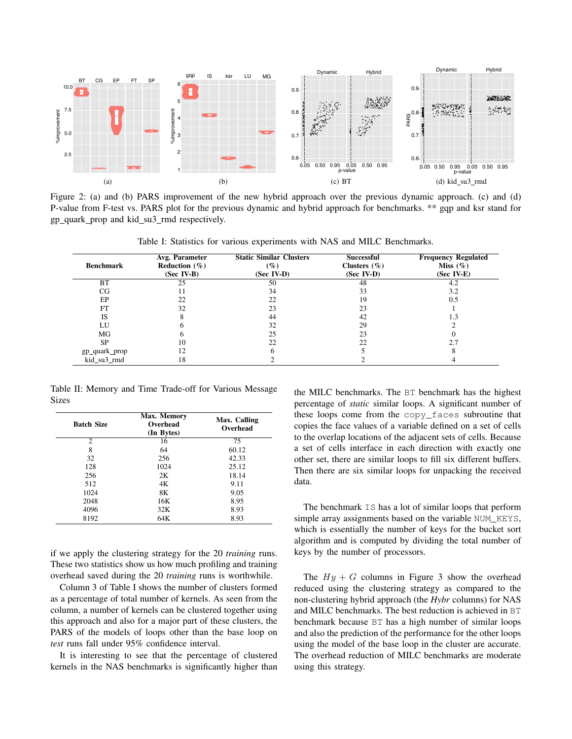

Figure 2: (a) and (b) PARS improvement of the new hybrid approach over the previous dynamic approach. (c) and (d) P-value from F-test vs. PARS plot for the previous dynamic and hybrid approach for benchmarks. \*\* gqp and ksr stand for gp\_quark\_prop and kid\_su3\_rmd respectively.

| <b>Benchmark</b> | Avg. Parameter<br>Reduction $(\% )$<br>$(Sec IV-B)$ | <b>Static Similar Clusters</b><br>$(\%)$<br>(Sec IV-D) | <b>Successful</b><br>Clusters $(\% )$<br>$(Sec IV-D)$ | <b>Frequency Regulated</b><br>Miss $(\% )$<br>(Sec IV-E) |
|------------------|-----------------------------------------------------|--------------------------------------------------------|-------------------------------------------------------|----------------------------------------------------------|
| BT               | 25                                                  | 50                                                     | 48                                                    | 4.2                                                      |
| CG               | 11                                                  | 34                                                     | 33                                                    | 3.2                                                      |
| EP               | 22                                                  | 22                                                     | 19                                                    | 0.5                                                      |
| FT               | 32                                                  | 23                                                     | 23                                                    |                                                          |
| <b>IS</b>        |                                                     | 44                                                     | 42                                                    | 1.3                                                      |
| LU               |                                                     | 32                                                     | 29                                                    |                                                          |
| MG               |                                                     | 25                                                     | 23                                                    |                                                          |
| <b>SP</b>        | 10                                                  | 22                                                     | 22                                                    |                                                          |
| gp_quark_prop    | 12                                                  |                                                        |                                                       |                                                          |
| kid_su3_rmd      | 18                                                  |                                                        |                                                       |                                                          |

Table I: Statistics for various experiments with NAS and MILC Benchmarks.

Table II: Memory and Time Trade-off for Various Message Sizes

| <b>Batch Size</b> | Max. Memory<br>Overhead<br>(In Bytes) | Max. Calling<br>Overhead |
|-------------------|---------------------------------------|--------------------------|
| $\overline{c}$    | 16                                    | 75                       |
| 8                 | 64                                    | 60.12                    |
| 32                | 256                                   | 42.33                    |
| 128               | 1024                                  | 25.12                    |
| 256               | 2K                                    | 18.14                    |
| 512               | 4Κ                                    | 9.11                     |
| 1024              | 8K                                    | 9.05                     |
| 2048              | 16K                                   | 8.95                     |
| 4096              | 32K                                   | 8.93                     |
| 8192              | 64K                                   | 8.93                     |

if we apply the clustering strategy for the 20 *training* runs. These two statistics show us how much profiling and training overhead saved during the 20 *training* runs is worthwhile.

Column 3 of Table I shows the number of clusters formed as a percentage of total number of kernels. As seen from the column, a number of kernels can be clustered together using this approach and also for a major part of these clusters, the PARS of the models of loops other than the base loop on *test* runs fall under 95% confidence interval.

It is interesting to see that the percentage of clustered kernels in the NAS benchmarks is significantly higher than the MILC benchmarks. The BT benchmark has the highest percentage of *static* similar loops. A significant number of these loops come from the copy\_faces subroutine that copies the face values of a variable defined on a set of cells to the overlap locations of the adjacent sets of cells. Because a set of cells interface in each direction with exactly one other set, there are similar loops to fill six different buffers. Then there are six similar loops for unpacking the received data.

The benchmark IS has a lot of similar loops that perform simple array assignments based on the variable NUM\_KEYS, which is essentially the number of keys for the bucket sort algorithm and is computed by dividing the total number of keys by the number of processors.

The  $Hy + G$  columns in Figure 3 show the overhead reduced using the clustering strategy as compared to the non-clustering hybrid approach (the *Hybr* columns) for NAS and MILC benchmarks. The best reduction is achieved in BT benchmark because BT has a high number of similar loops and also the prediction of the performance for the other loops using the model of the base loop in the cluster are accurate. The overhead reduction of MILC benchmarks are moderate using this strategy.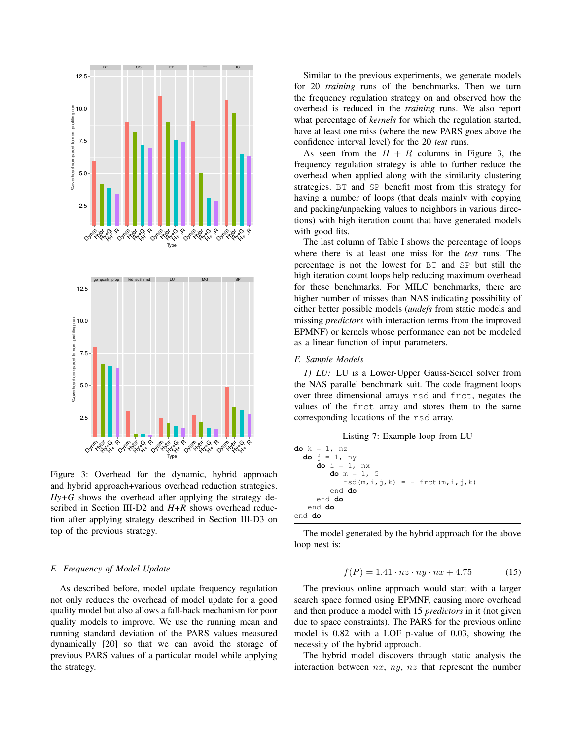

Figure 3: Overhead for the dynamic, hybrid approach and hybrid approach+various overhead reduction strategies.  $Hy+G$  shows the overhead after applying the strategy described in Section III-D2 and *H+R* shows overhead reduction after applying strategy described in Section III-D3 on top of the previous strategy.

## *E. Frequency of Model Update*

As described before, model update frequency regulation not only reduces the overhead of model update for a good quality model but also allows a fall-back mechanism for poor quality models to improve. We use the running mean and running standard deviation of the PARS values measured dynamically [20] so that we can avoid the storage of previous PARS values of a particular model while applying the strategy.

Similar to the previous experiments, we generate models for 20 *training* runs of the benchmarks. Then we turn the frequency regulation strategy on and observed how the overhead is reduced in the *training* runs. We also report what percentage of *kernels* for which the regulation started, have at least one miss (where the new PARS goes above the confidence interval level) for the 20 *test* runs.

As seen from the  $H + R$  columns in Figure 3, the frequency regulation strategy is able to further reduce the overhead when applied along with the similarity clustering strategies. BT and SP benefit most from this strategy for having a number of loops (that deals mainly with copying and packing/unpacking values to neighbors in various directions) with high iteration count that have generated models with good fits.

The last column of Table I shows the percentage of loops where there is at least one miss for the *test* runs. The percentage is not the lowest for BT and SP but still the high iteration count loops help reducing maximum overhead for these benchmarks. For MILC benchmarks, there are higher number of misses than NAS indicating possibility of either better possible models (*undefs* from static models and missing *predictors* with interaction terms from the improved EPMNF) or kernels whose performance can not be modeled as a linear function of input parameters.

## *F. Sample Models*

*1) LU:* LU is a Lower-Upper Gauss-Seidel solver from the NAS parallel benchmark suit. The code fragment loops over three dimensional arrays rsd and frct, negates the values of the frct array and stores them to the same corresponding locations of the rsd array.

Listing 7: Example loop from LU

| <b>do</b> $k = 1$ , nz           |
|----------------------------------|
| <b>do</b> $j = 1$ , ny           |
| $\text{do}$ i = 1, nx            |
| do $m = 1$ , 5                   |
| $rsd(m,i,i,k) = - frct(m,i,i,k)$ |
| end do                           |
| end do                           |
| end do                           |
| end do                           |

The model generated by the hybrid approach for the above loop nest is:

$$
f(P) = 1.41 \cdot nz \cdot ny \cdot nx + 4.75 \tag{15}
$$

The previous online approach would start with a larger search space formed using EPMNF, causing more overhead and then produce a model with 15 *predictors* in it (not given due to space constraints). The PARS for the previous online model is 0.82 with a LOF p-value of 0.03, showing the necessity of the hybrid approach.

The hybrid model discovers through static analysis the interaction between  $nx$ ,  $ny$ ,  $nz$  that represent the number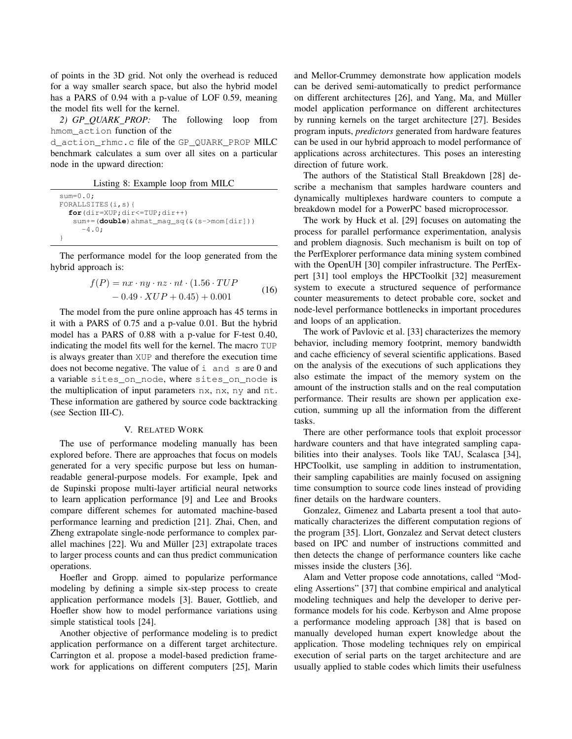of points in the 3D grid. Not only the overhead is reduced for a way smaller search space, but also the hybrid model has a PARS of 0.94 with a p-value of LOF 0.59, meaning the model fits well for the kernel.

*2) GP QUARK PROP:* The following loop from hmom\_action function of the

d\_action\_rhmc.c file of the GP\_QUARK\_PROP MILC benchmark calculates a sum over all sites on a particular node in the upward direction:

Listing 8: Example loop from MILC

```
sum=0.0;
FORALLSITES(i,s){
  for(dir=XUP;dir<=TUP;dir++)
   sum+=(double)ahmat_mag_sq(&(s->mom[dir]))
     -4.0:
}
```
The performance model for the loop generated from the hybrid approach is:

$$
f(P) = nx \cdot ny \cdot nz \cdot nt \cdot (1.56 \cdot TUP
$$
  
- 0.49 \cdot XUP + 0.45) + 0.001 (16)

The model from the pure online approach has 45 terms in it with a PARS of 0.75 and a p-value 0.01. But the hybrid model has a PARS of 0.88 with a p-value for F-test 0.40, indicating the model fits well for the kernel. The macro TUP is always greater than XUP and therefore the execution time does not become negative. The value of i and s are 0 and a variable sites on node, where sites on node is the multiplication of input parameters nx, nx, ny and nt. These information are gathered by source code backtracking (see Section III-C).

#### V. RELATED WORK

The use of performance modeling manually has been explored before. There are approaches that focus on models generated for a very specific purpose but less on humanreadable general-purpose models. For example, Ipek and de Supinski propose multi-layer artificial neural networks to learn application performance [9] and Lee and Brooks compare different schemes for automated machine-based performance learning and prediction [21]. Zhai, Chen, and Zheng extrapolate single-node performance to complex parallel machines  $[22]$ . Wu and Müller  $[23]$  extrapolate traces to larger process counts and can thus predict communication operations.

Hoefler and Gropp. aimed to popularize performance modeling by defining a simple six-step process to create application performance models [3]. Bauer, Gottlieb, and Hoefler show how to model performance variations using simple statistical tools [24].

Another objective of performance modeling is to predict application performance on a different target architecture. Carrington et al. propose a model-based prediction framework for applications on different computers [25], Marin and Mellor-Crummey demonstrate how application models can be derived semi-automatically to predict performance on different architectures [26], and Yang, Ma, and Müller model application performance on different architectures by running kernels on the target architecture [27]. Besides program inputs, *predictors* generated from hardware features can be used in our hybrid approach to model performance of applications across architectures. This poses an interesting direction of future work.

The authors of the Statistical Stall Breakdown [28] describe a mechanism that samples hardware counters and dynamically multiplexes hardware counters to compute a breakdown model for a PowerPC based microprocessor.

The work by Huck et al. [29] focuses on automating the process for parallel performance experimentation, analysis and problem diagnosis. Such mechanism is built on top of the PerfExplorer performance data mining system combined with the OpenUH [30] compiler infrastructure. The PerfExpert [31] tool employs the HPCToolkit [32] measurement system to execute a structured sequence of performance counter measurements to detect probable core, socket and node-level performance bottlenecks in important procedures and loops of an application.

The work of Pavlovic et al. [33] characterizes the memory behavior, including memory footprint, memory bandwidth and cache efficiency of several scientific applications. Based on the analysis of the executions of such applications they also estimate the impact of the memory system on the amount of the instruction stalls and on the real computation performance. Their results are shown per application execution, summing up all the information from the different tasks.

There are other performance tools that exploit processor hardware counters and that have integrated sampling capabilities into their analyses. Tools like TAU, Scalasca [34], HPCToolkit, use sampling in addition to instrumentation, their sampling capabilities are mainly focused on assigning time consumption to source code lines instead of providing finer details on the hardware counters.

Gonzalez, Gimenez and Labarta present a tool that automatically characterizes the different computation regions of the program [35]. Llort, Gonzalez and Servat detect clusters based on IPC and number of instructions committed and then detects the change of performance counters like cache misses inside the clusters [36].

Alam and Vetter propose code annotations, called "Modeling Assertions" [37] that combine empirical and analytical modeling techniques and help the developer to derive performance models for his code. Kerbyson and Alme propose a performance modeling approach [38] that is based on manually developed human expert knowledge about the application. Those modeling techniques rely on empirical execution of serial parts on the target architecture and are usually applied to stable codes which limits their usefulness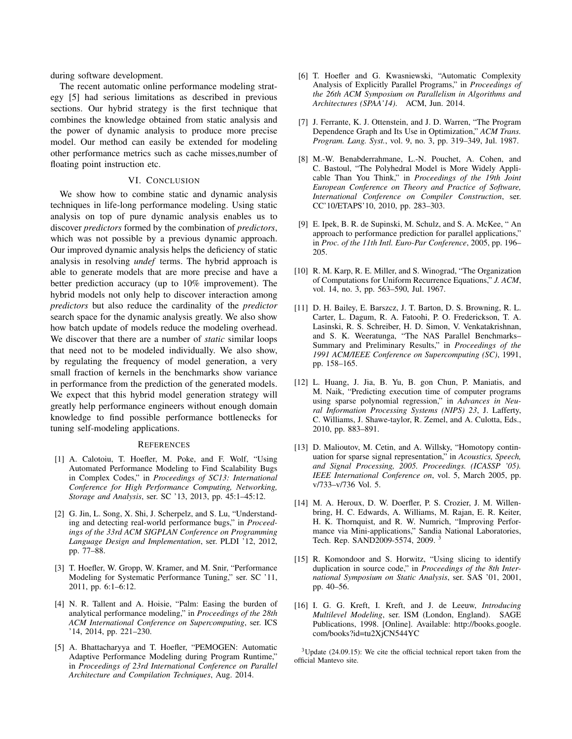during software development.

The recent automatic online performance modeling strategy [5] had serious limitations as described in previous sections. Our hybrid strategy is the first technique that combines the knowledge obtained from static analysis and the power of dynamic analysis to produce more precise model. Our method can easily be extended for modeling other performance metrics such as cache misses,number of floating point instruction etc.

## VI. CONCLUSION

We show how to combine static and dynamic analysis techniques in life-long performance modeling. Using static analysis on top of pure dynamic analysis enables us to discover *predictors* formed by the combination of *predictors*, which was not possible by a previous dynamic approach. Our improved dynamic analysis helps the deficiency of static analysis in resolving *undef* terms. The hybrid approach is able to generate models that are more precise and have a better prediction accuracy (up to 10% improvement). The hybrid models not only help to discover interaction among *predictors* but also reduce the cardinality of the *predictor* search space for the dynamic analysis greatly. We also show how batch update of models reduce the modeling overhead. We discover that there are a number of *static* similar loops that need not to be modeled individually. We also show, by regulating the frequency of model generation, a very small fraction of kernels in the benchmarks show variance in performance from the prediction of the generated models. We expect that this hybrid model generation strategy will greatly help performance engineers without enough domain knowledge to find possible performance bottlenecks for tuning self-modeling applications.

#### **REFERENCES**

- [1] A. Calotoiu, T. Hoefler, M. Poke, and F. Wolf, "Using Automated Performance Modeling to Find Scalability Bugs in Complex Codes," in *Proceedings of SC13: International Conference for High Performance Computing, Networking, Storage and Analysis*, ser. SC '13, 2013, pp. 45:1–45:12.
- [2] G. Jin, L. Song, X. Shi, J. Scherpelz, and S. Lu, "Understanding and detecting real-world performance bugs," in *Proceedings of the 33rd ACM SIGPLAN Conference on Programming Language Design and Implementation*, ser. PLDI '12, 2012, pp. 77–88.
- [3] T. Hoefler, W. Gropp, W. Kramer, and M. Snir, "Performance Modeling for Systematic Performance Tuning," ser. SC '11, 2011, pp. 6:1–6:12.
- [4] N. R. Tallent and A. Hoisie, "Palm: Easing the burden of analytical performance modeling," in *Proceedings of the 28th ACM International Conference on Supercomputing*, ser. ICS '14, 2014, pp. 221–230.
- [5] A. Bhattacharyya and T. Hoefler, "PEMOGEN: Automatic Adaptive Performance Modeling during Program Runtime," in *Proceedings of 23rd International Conference on Parallel Architecture and Compilation Techniques*, Aug. 2014.
- [6] T. Hoefler and G. Kwasniewski, "Automatic Complexity Analysis of Explicitly Parallel Programs," in *Proceedings of the 26th ACM Symposium on Parallelism in Algorithms and Architectures (SPAA'14)*. ACM, Jun. 2014.
- [7] J. Ferrante, K. J. Ottenstein, and J. D. Warren, "The Program Dependence Graph and Its Use in Optimization," *ACM Trans. Program. Lang. Syst.*, vol. 9, no. 3, pp. 319–349, Jul. 1987.
- [8] M.-W. Benabderrahmane, L.-N. Pouchet, A. Cohen, and C. Bastoul, "The Polyhedral Model is More Widely Applicable Than You Think," in *Proceedings of the 19th Joint European Conference on Theory and Practice of Software, International Conference on Compiler Construction*, ser. CC'10/ETAPS'10, 2010, pp. 283–303.
- [9] E. Ipek, B. R. de Supinski, M. Schulz, and S. A. McKee, " An approach to performance prediction for parallel applications," in *Proc. of the 11th Intl. Euro-Par Conference*, 2005, pp. 196– 205.
- [10] R. M. Karp, R. E. Miller, and S. Winograd, "The Organization" of Computations for Uniform Recurrence Equations," *J. ACM*, vol. 14, no. 3, pp. 563–590, Jul. 1967.
- [11] D. H. Bailey, E. Barszcz, J. T. Barton, D. S. Browning, R. L. Carter, L. Dagum, R. A. Fatoohi, P. O. Frederickson, T. A. Lasinski, R. S. Schreiber, H. D. Simon, V. Venkatakrishnan, and S. K. Weeratunga, "The NAS Parallel Benchmarks– Summary and Preliminary Results," in *Proceedings of the 1991 ACM/IEEE Conference on Supercomputing (SC)*, 1991, pp. 158–165.
- [12] L. Huang, J. Jia, B. Yu, B. gon Chun, P. Maniatis, and M. Naik, "Predicting execution time of computer programs using sparse polynomial regression," in *Advances in Neural Information Processing Systems (NIPS) 23*, J. Lafferty, C. Williams, J. Shawe-taylor, R. Zemel, and A. Culotta, Eds., 2010, pp. 883–891.
- [13] D. Malioutov, M. Cetin, and A. Willsky, "Homotopy continuation for sparse signal representation," in *Acoustics, Speech, and Signal Processing, 2005. Proceedings. (ICASSP '05). IEEE International Conference on*, vol. 5, March 2005, pp. v/733–v/736 Vol. 5.
- [14] M. A. Heroux, D. W. Doerfler, P. S. Crozier, J. M. Willenbring, H. C. Edwards, A. Williams, M. Rajan, E. R. Keiter, H. K. Thornquist, and R. W. Numrich, "Improving Performance via Mini-applications," Sandia National Laboratories, Tech. Rep. SAND2009-5574, 2009.<sup>3</sup>
- [15] R. Komondoor and S. Horwitz, "Using slicing to identify duplication in source code," in *Proceedings of the 8th International Symposium on Static Analysis*, ser. SAS '01, 2001, pp. 40–56.
- [16] I. G. G. Kreft, I. Kreft, and J. de Leeuw, *Introducing Multilevel Modeling*, ser. ISM (London, England). SAGE Publications, 1998. [Online]. Available: http://books.google. com/books?id=tu2XjCN544YC

<sup>3</sup>Update (24.09.15): We cite the official technical report taken from the official Mantevo site.